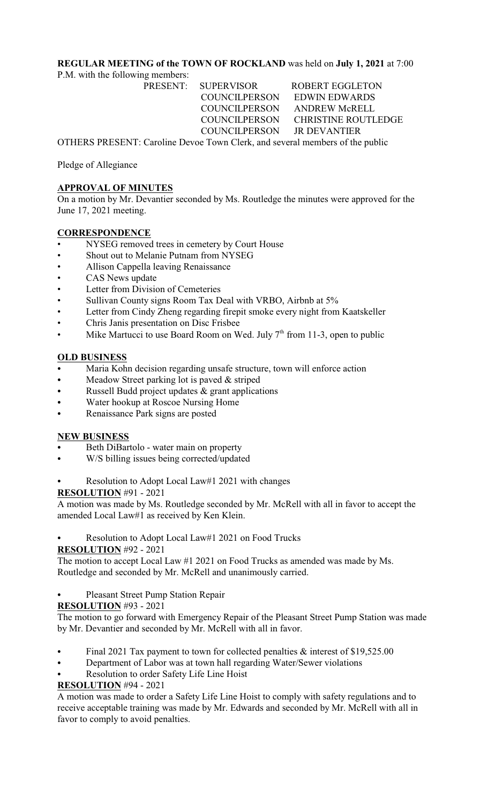### **REGULAR MEETING of the TOWN OF ROCKLAND** was held on **July 1, 2021** at 7:00

P.M. with the following members:

PRESENT: SUPERVISOR ROBERT EGGLETON COUNCILPERSON EDWIN EDWARDS COUNCILPERSON ANDREW McRELL COUNCILPERSON CHRISTINE ROUTLEDGE COUNCILPERSON JR DEVANTIER

OTHERS PRESENT: Caroline Devoe Town Clerk, and several members of the public

Pledge of Allegiance

# **APPROVAL OF MINUTES**

On a motion by Mr. Devantier seconded by Ms. Routledge the minutes were approved for the June 17, 2021 meeting.

### **CORRESPONDENCE**

- NYSEG removed trees in cemetery by Court House
- Shout out to Melanie Putnam from NYSEG
- Allison Cappella leaving Renaissance
- CAS News update
- Letter from Division of Cemeteries
- Sullivan County signs Room Tax Deal with VRBO, Airbnb at 5%
- Letter from Cindy Zheng regarding firepit smoke every night from Kaatskeller
- Chris Janis presentation on Disc Frisbee
- Mike Martucci to use Board Room on Wed. July  $7<sup>th</sup>$  from 11-3, open to public

### **OLD BUSINESS**

- Maria Kohn decision regarding unsafe structure, town will enforce action
- Meadow Street parking lot is paved  $&$  striped
- Russell Budd project updates  $&$  grant applications
- Water hookup at Roscoe Nursing Home
- Renaissance Park signs are posted

#### **NEW BUSINESS**

- Beth DiBartolo water main on property
- W/S billing issues being corrected/updated
- Resolution to Adopt Local Law#1 2021 with changes

#### **RESOLUTION** #91 - 2021

A motion was made by Ms. Routledge seconded by Mr. McRell with all in favor to accept the amended Local Law#1 as received by Ken Klein.

Resolution to Adopt Local Law#1 2021 on Food Trucks

# **RESOLUTION** #92 - 2021

The motion to accept Local Law #1 2021 on Food Trucks as amended was made by Ms. Routledge and seconded by Mr. McRell and unanimously carried.

Pleasant Street Pump Station Repair

**RESOLUTION** #93 - 2021

The motion to go forward with Emergency Repair of the Pleasant Street Pump Station was made by Mr. Devantier and seconded by Mr. McRell with all in favor.

- Final 2021 Tax payment to town for collected penalties  $\&$  interest of \$19,525.00
- Department of Labor was at town hall regarding Water/Sewer violations
- Resolution to order Safety Life Line Hoist

# **RESOLUTION** #94 - 2021

A motion was made to order a Safety Life Line Hoist to comply with safety regulations and to receive acceptable training was made by Mr. Edwards and seconded by Mr. McRell with all in favor to comply to avoid penalties.